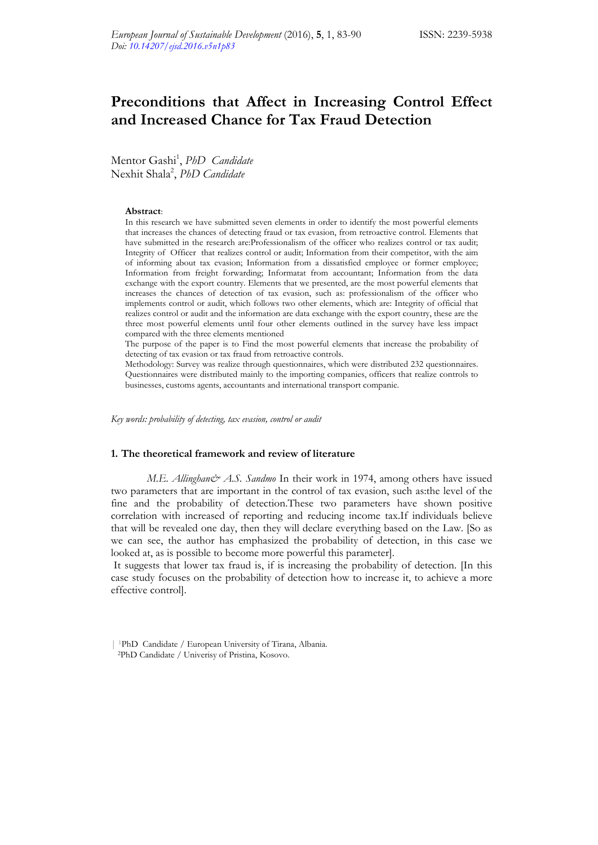# **Preconditions that Affect in Increasing Control Effect and Increased Chance for Tax Fraud Detection**

Mentor Gashi<sup>1</sup>, *PhD Candidate* Nexhit Shala2 , *PhD Candidate*

#### **Abstract**:

In this research we have submitted seven elements in order to identify the most powerful elements that increases the chances of detecting fraud or tax evasion, from retroactive control. Elements that have submitted in the research are:Professionalism of the officer who realizes control or tax audit; Integrity of Officer that realizes control or audit; Information from their competitor, with the aim of informing about tax evasion; Information from a dissatisfied employee or former employee; Information from freight forwarding; Informatat from accountant; Information from the data exchange with the export country. Elements that we presented, are the most powerful elements that increases the chances of detection of tax evasion, such as: professionalism of the officer who implements control or audit, which follows two other elements, which are: Integrity of official that realizes control or audit and the information are data exchange with the export country, these are the three most powerful elements until four other elements outlined in the survey have less impact compared with the three elements mentioned

The purpose of the paper is to Find the most powerful elements that increase the probability of detecting of tax evasion or tax fraud from retroactive controls.

Methodology: Survey was realize through questionnaires, which were distributed 232 questionnaires. Questionnaires were distributed mainly to the importing companies, officers that realize controls to businesses, customs agents, accountants and international transport companie.

*Key words: probability of detecting, tax evasion, control or audit* 

#### **1. The theoretical framework and review of literature**

*M.E. Allinghan& A.S. Sandmo* In their work in 1974, among others have issued two parameters that are important in the control of tax evasion, such as:the level of the fine and the probability of detection.These two parameters have shown positive correlation with increased of reporting and reducing income tax.If individuals believe that will be revealed one day, then they will declare everything based on the Law. [So as we can see, the author has emphasized the probability of detection, in this case we looked at, as is possible to become more powerful this parameter].

It suggests that lower tax fraud is, if is increasing the probability of detection. [In this case study focuses on the probability of detection how to increase it, to achieve a more effective control].

<sup>| 1</sup>PhD Candidate / European University of Tirana, Albania. 2PhD Candidate / Univerisy of Pristina, Kosovo.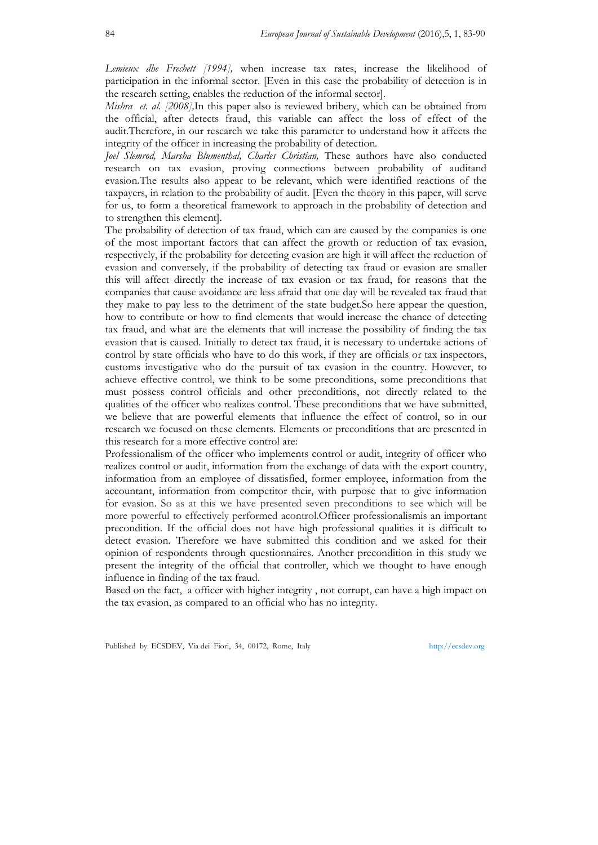*Lemieux dhe Frechett [1994],* when increase tax rates, increase the likelihood of participation in the informal sector. [Even in this case the probability of detection is in the research setting, enables the reduction of the informal sector].

*Mishra et. al. [2008],*In this paper also is reviewed bribery, which can be obtained from the official, after detects fraud, this variable can affect the loss of effect of the audit.Therefore, in our research we take this parameter to understand how it affects the integrity of the officer in increasing the probability of detection*.*

*Joel Slemrod, Marsha Blumenthal, Charles Christian,* These authors have also conducted research on tax evasion, proving connections between probability of auditand evasion.The results also appear to be relevant, which were identified reactions of the taxpayers, in relation to the probability of audit. [Even the theory in this paper, will serve for us, to form a theoretical framework to approach in the probability of detection and to strengthen this element].

The probability of detection of tax fraud, which can are caused by the companies is one of the most important factors that can affect the growth or reduction of tax evasion, respectively, if the probability for detecting evasion are high it will affect the reduction of evasion and conversely, if the probability of detecting tax fraud or evasion are smaller this will affect directly the increase of tax evasion or tax fraud, for reasons that the companies that cause avoidance are less afraid that one day will be revealed tax fraud that they make to pay less to the detriment of the state budget.So here appear the question, how to contribute or how to find elements that would increase the chance of detecting tax fraud, and what are the elements that will increase the possibility of finding the tax evasion that is caused. Initially to detect tax fraud, it is necessary to undertake actions of control by state officials who have to do this work, if they are officials or tax inspectors, customs investigative who do the pursuit of tax evasion in the country. However, to achieve effective control, we think to be some preconditions, some preconditions that must possess control officials and other preconditions, not directly related to the qualities of the officer who realizes control. These preconditions that we have submitted, we believe that are powerful elements that influence the effect of control, so in our research we focused on these elements. Elements or preconditions that are presented in this research for a more effective control are:

Professionalism of the officer who implements control or audit, integrity of officer who realizes control or audit, information from the exchange of data with the export country, information from an employee of dissatisfied, former employee, information from the accountant, information from competitor their, with purpose that to give information for evasion. So as at this we have presented seven preconditions to see which will be more powerful to effectively performed acontrol.Officer professionalismis an important precondition. If the official does not have high professional qualities it is difficult to detect evasion. Therefore we have submitted this condition and we asked for their opinion of respondents through questionnaires. Another precondition in this study we present the integrity of the official that controller, which we thought to have enough influence in finding of the tax fraud.

Based on the fact, a officer with higher integrity , not corrupt, can have a high impact on the tax evasion, as compared to an official who has no integrity.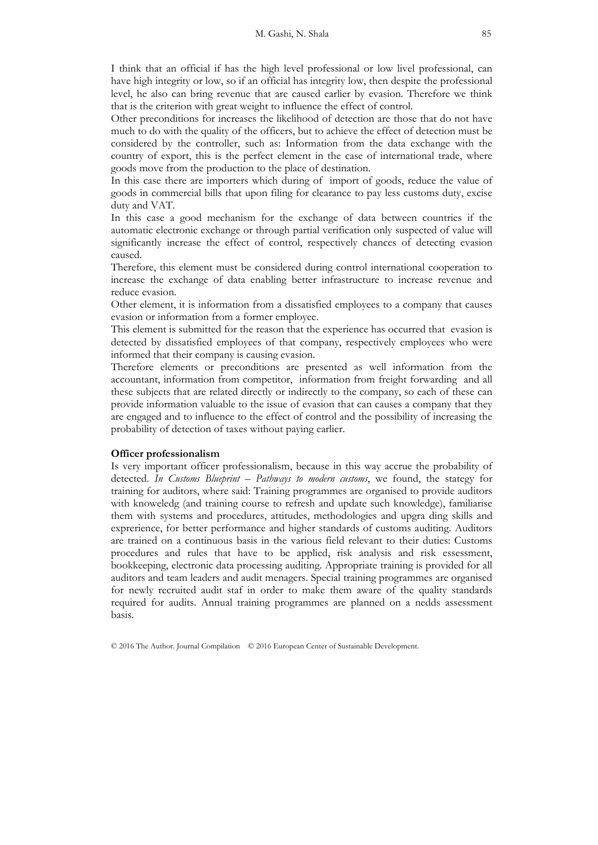I think that an official if has the high level professional or low livel professional, can have high integrity or low, so if an official has integrity low, then despite the professional level, he also can bring revenue that are caused earlier by evasion. Therefore we think that is the criterion with great weight to influence the effect of control.

Other preconditions for increases the likelihood of detection are those that do not have much to do with the quality of the officers, but to achieve the effect of detection must be considered by the controller, such as: Information from the data exchange with the country of export, this is the perfect element in the case of international trade, where goods move from the production to the place of destination.

In this case there are importers which during of import of goods, reduce the value of goods in commercial bills that upon filing for clearance to pay less customs duty, excise duty and VAT.

In this case a good mechanism for the exchange of data between countries if the automatic electronic exchange or through partial verification only suspected of value will significantly increase the effect of control, respectively chances of detecting evasion caused.

Therefore, this element must be considered during control international cooperation to increase the exchange of data enabling better infrastructure to increase revenue and reduce evasion.

Other element, it is information from a dissatisfied employees to a company that causes evasion or information from a former employee.

This element is submitted for the reason that the experience has occurred that evasion is detected by dissatisfied employees of that company, respectively employees who were informed that their company is causing evasion.

Therefore elements or preconditions are presented as well information from the accountant, information from competitor, information from freight forwarding and all these subjects that are related directly or indirectly to the company, so each of these can provide information valuable to the issue of evasion that can causes a company that they are engaged and to influence to the effect of control and the possibility of increasing the probability of detection of taxes without paying earlier.

### **Officer professionalism**

Is very important officer professionalism, because in this way accrue the probability of detected. *In Customs Blueprint – Pathways to modern customs*, we found, the stategy for training for auditors, where said: Training programmes are organised to provide auditors with knoweledg (and training course to refresh and update such knowledge), familiarise them with systems and procedures, attitudes, methodologies and upgra ding skills and exprerience, for better performance and higher standards of customs auditing. Auditors are trained on a continuous basis in the various field relevant to their duties: Customs procedures and rules that have to be applied, risk analysis and risk essessment, bookkeeping, electronic data processing auditing. Appropriate training is provided for all auditors and team leaders and audit menagers. Special training programmes are organised for newly recruited audit staf in order to make them aware of the quality standards required for audits. Annual training programmes are planned on a nedds assessment basis.

© 2016 The Author. Journal Compilation © 2016 European Center of Sustainable Development.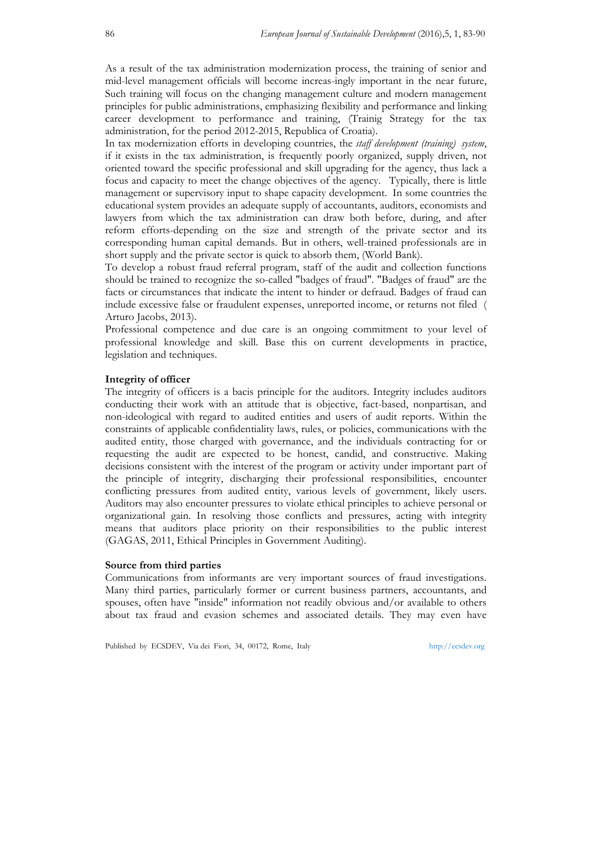As a result of the tax administration modernization process, the training of senior and mid-level management officials will become increas-ingly important in the near future, Such training will focus on the changing management culture and modern management principles for public administrations, emphasizing flexibility and performance and linking career development to performance and training, (Trainig Strategy for the tax administration, for the period 2012-2015, Republica of Croatia).

In tax modernization efforts in developing countries, the *staff development (training) system*, if it exists in the tax administration, is frequently poorly organized, supply driven, not oriented toward the specific professional and skill upgrading for the agency, thus lack a focus and capacity to meet the change objectives of the agency. Typically, there is little management or supervisory input to shape capacity development. In some countries the educational system provides an adequate supply of accountants, auditors, economists and lawyers from which the tax administration can draw both before, during, and after reform efforts-depending on the size and strength of the private sector and its corresponding human capital demands. But in others, well-trained professionals are in short supply and the private sector is quick to absorb them, (World Bank).

To develop a robust fraud referral program, staff of the audit and collection functions should be trained to recognize the so-called "badges of fraud". "Badges of fraud" are the facts or circumstances that indicate the intent to hinder or defraud. Badges of fraud can include excessive false or fraudulent expenses, unreported income, or returns not filed ( Arturo Jacobs, 2013).

Professional competence and due care is an ongoing commitment to your level of professional knowledge and skill. Base this on current developments in practice, legislation and techniques.

## **Integrity of officer**

The integrity of officers is a bacis principle for the auditors. Integrity includes auditors conducting their work with an attitude that is objective, fact-based, nonpartisan, and non-ideological with regard to audited entities and users of audit reports. Within the constraints of applicable confidentiality laws, rules, or policies, communications with the audited entity, those charged with governance, and the individuals contracting for or requesting the audit are expected to be honest, candid, and constructive. Making decisions consistent with the interest of the program or activity under important part of the principle of integrity, discharging their professional responsibilities, encounter conflicting pressures from audited entity, various levels of government, likely users. Auditors may also encounter pressures to violate ethical principles to achieve personal or organizational gain. In resolving those conflicts and pressures, acting with integrity means that auditors place priority on their responsibilities to the public interest (GAGAS, 2011, Ethical Principles in Government Auditing).

#### **Source from third parties**

Communications from informants are very important sources of fraud investigations. Many third parties, particularly former or current business partners, accountants, and spouses, often have "inside" information not readily obvious and/or available to others about tax fraud and evasion schemes and associated details. They may even have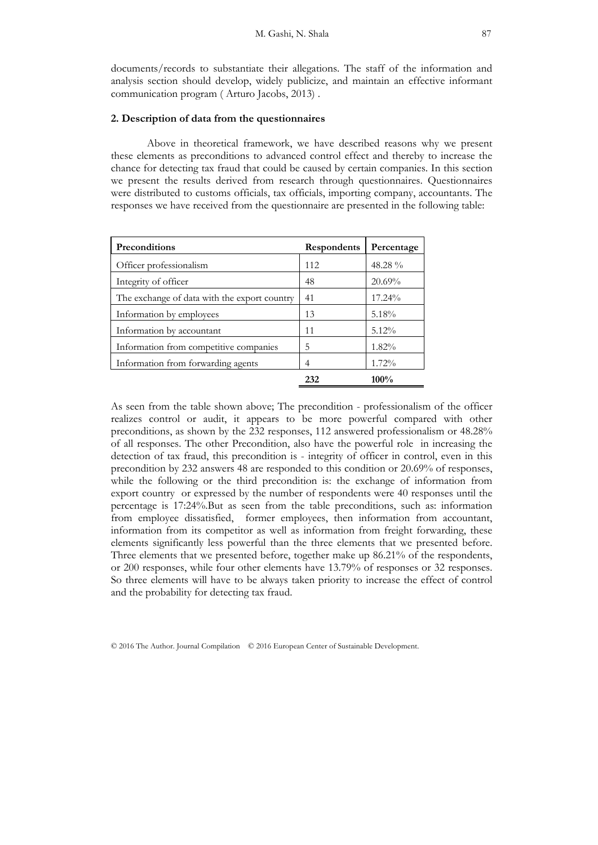documents/records to substantiate their allegations. The staff of the information and analysis section should develop, widely publicize, and maintain an effective informant communication program ( Arturo Jacobs, 2013) .

## **2. Description of data from the questionnaires**

Above in theoretical framework, we have described reasons why we present these elements as preconditions to advanced control effect and thereby to increase the chance for detecting tax fraud that could be caused by certain companies. In this section we present the results derived from research through questionnaires. Questionnaires were distributed to customs officials, tax officials, importing company, accountants. The responses we have received from the questionnaire are presented in the following table:

| Preconditions                                | <b>Respondents</b> | Percentage |
|----------------------------------------------|--------------------|------------|
| Officer professionalism                      | 112                | 48.28 %    |
| Integrity of officer                         | 48                 | 20.69%     |
| The exchange of data with the export country | 41                 | 17.24%     |
| Information by employees                     | 13                 | 5.18%      |
| Information by accountant                    | 11                 | $5.12\%$   |
| Information from competitive companies       | 5                  | $1.82\%$   |
| Information from forwarding agents           | 4                  | 1.72%      |
|                                              | 232                | 100%       |

As seen from the table shown above; The precondition - professionalism of the officer realizes control or audit, it appears to be more powerful compared with other preconditions, as shown by the 232 responses, 112 answered professionalism or 48.28% of all responses. The other Precondition, also have the powerful role in increasing the detection of tax fraud, this precondition is - integrity of officer in control, even in this precondition by 232 answers 48 are responded to this condition or 20.69% of responses, while the following or the third precondition is: the exchange of information from export country or expressed by the number of respondents were 40 responses until the percentage is 17:24%.But as seen from the table preconditions, such as: information from employee dissatisfied, former employees, then information from accountant, information from its competitor as well as information from freight forwarding, these elements significantly less powerful than the three elements that we presented before. Three elements that we presented before, together make up 86.21% of the respondents, or 200 responses, while four other elements have 13.79% of responses or 32 responses. So three elements will have to be always taken priority to increase the effect of control and the probability for detecting tax fraud.

© 2016 The Author. Journal Compilation © 2016 European Center of Sustainable Development.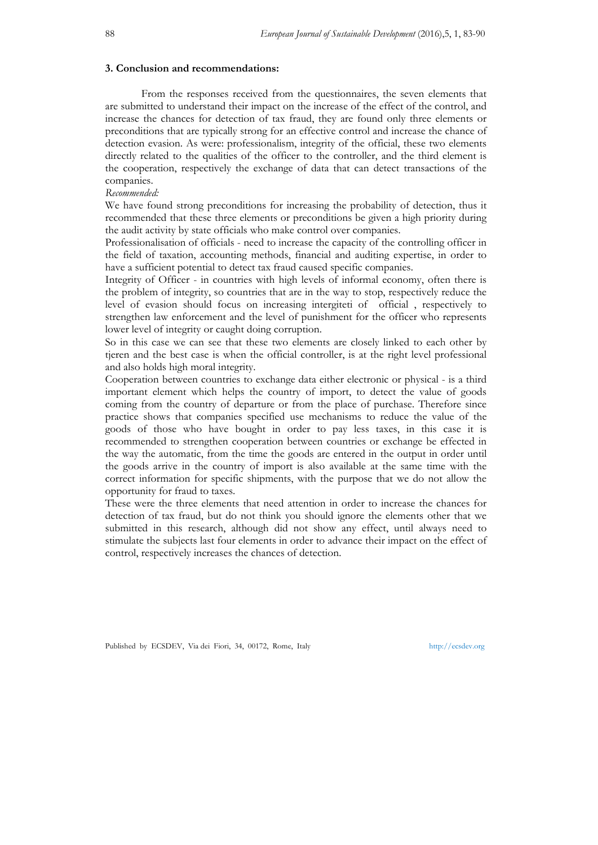### **3. Conclusion and recommendations:**

From the responses received from the questionnaires, the seven elements that are submitted to understand their impact on the increase of the effect of the control, and increase the chances for detection of tax fraud, they are found only three elements or preconditions that are typically strong for an effective control and increase the chance of detection evasion. As were: professionalism, integrity of the official, these two elements directly related to the qualities of the officer to the controller, and the third element is the cooperation, respectively the exchange of data that can detect transactions of the companies.

## *Recommended:*

We have found strong preconditions for increasing the probability of detection, thus it recommended that these three elements or preconditions be given a high priority during the audit activity by state officials who make control over companies.

Professionalisation of officials - need to increase the capacity of the controlling officer in the field of taxation, accounting methods, financial and auditing expertise, in order to have a sufficient potential to detect tax fraud caused specific companies.

Integrity of Officer - in countries with high levels of informal economy, often there is the problem of integrity, so countries that are in the way to stop, respectively reduce the level of evasion should focus on increasing intergiteti of official , respectively to strengthen law enforcement and the level of punishment for the officer who represents lower level of integrity or caught doing corruption.

So in this case we can see that these two elements are closely linked to each other by tjeren and the best case is when the official controller, is at the right level professional and also holds high moral integrity.

Cooperation between countries to exchange data either electronic or physical - is a third important element which helps the country of import, to detect the value of goods coming from the country of departure or from the place of purchase. Therefore since practice shows that companies specified use mechanisms to reduce the value of the goods of those who have bought in order to pay less taxes, in this case it is recommended to strengthen cooperation between countries or exchange be effected in the way the automatic, from the time the goods are entered in the output in order until the goods arrive in the country of import is also available at the same time with the correct information for specific shipments, with the purpose that we do not allow the opportunity for fraud to taxes.

These were the three elements that need attention in order to increase the chances for detection of tax fraud, but do not think you should ignore the elements other that we submitted in this research, although did not show any effect, until always need to stimulate the subjects last four elements in order to advance their impact on the effect of control, respectively increases the chances of detection.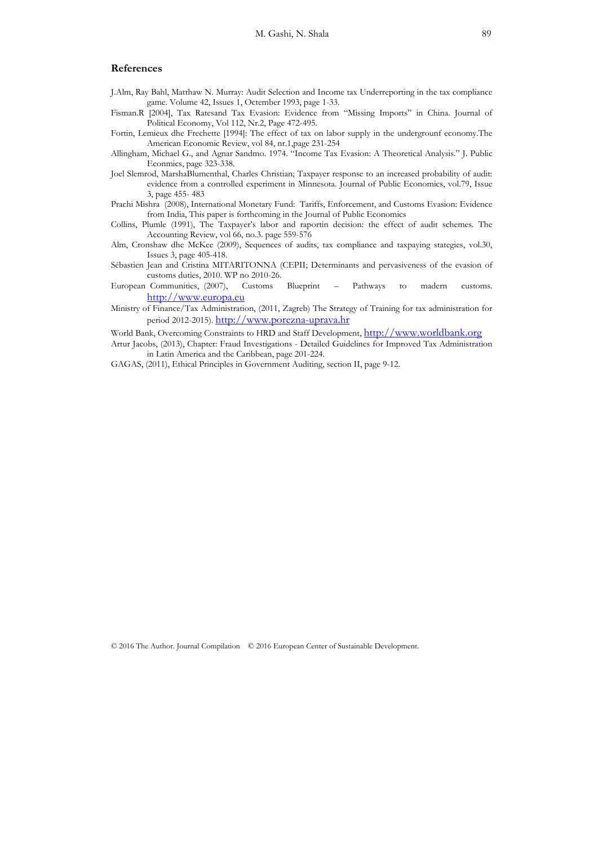#### **References**

- J.Alm, Ray Bahl, Matthaw N. Murray: Audit Selection and Income tax Underreporting in the tax compliance game. Volume 42, Issues 1, Octember 1993, page 1-33.
- Fisman.R [2004], Tax Ratesand Tax Evasion: Evidence from "Missing Imports" in China. Journal of Political Economy, Vol 112, Nr.2, Page 472-495.
- Fortin, Lemieux dhe Frechette [1994]: The effect of tax on labor supply in the undergrounf economy.The American Economic Review, vol 84, nr.1,page 231-254
- Allingham, Michael G., and Agnar Sandmo. 1974. "Income Tax Evasion: A Theoretical Analysis." J. Public Econmics, page 323-338.
- Joel Slemrod, MarshaBlumenthal, Charles Christian; Taxpayer response to an increased probability of audit: evidence from a controlled experiment in Minnesota. Journal of Public Economics, vol.79, Issue 3, page 455- 483
- Prachi Mishra (2008), International Monetary Fund: Tariffs, Enforcement, and Customs Evasion: Evidence from India, This paper is forthcoming in the Journal of Public Economics
- Collins, Plumle (1991), The Taxpayer's labor and raportin decision: the effect of audit schemes. The Accounting Review, vol 66, no.3. page 559-576
- Alm, Cronshaw dhe McKee (2009), Sequences of audits, tax compliance and taxpaying stategies, vol.30, Issues 3, page 405-418.
- Sébastien Jean and Cristina MITARITONNA (CEPII; Determinants and pervasiveness of the evasion of customs duties, 2010. WP no 2010-26.
- European Communities, (2007), Customs Blueprint Pathways to madern customs. http://www.europa.eu
- Ministry of Finance/Tax Administration, (2011, Zagreb) The Strategy of Training for tax administration for period 2012-2015). http://www.porezna-uprava.hr
- World Bank, Overcoming Constraints to HRD and Staff Development, http://www.worldbank.org
- Artur Jacobs, (2013), Chapter: Fraud Investigations Detailed Guidelines for Improved Tax Administration in Latin America and the Caribbean, page 201-224.
- GAGAS, (2011), Ethical Principles in Government Auditing, section II, page 9-12.

© 2016 The Author. Journal Compilation © 2016 European Center of Sustainable Development.